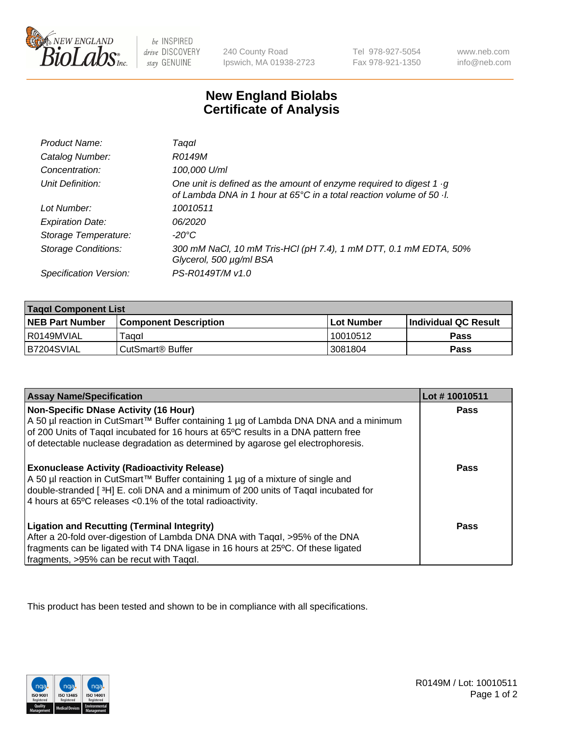

be INSPIRED drive DISCOVERY stay GENUINE

240 County Road Ipswich, MA 01938-2723 Tel 978-927-5054 Fax 978-921-1350 www.neb.com info@neb.com

## **New England Biolabs Certificate of Analysis**

| Product Name:              | Taqαl                                                                                                                                               |
|----------------------------|-----------------------------------------------------------------------------------------------------------------------------------------------------|
| Catalog Number:            | R0149M                                                                                                                                              |
| Concentration:             | 100,000 U/ml                                                                                                                                        |
| Unit Definition:           | One unit is defined as the amount of enzyme required to digest 1 $\cdot$ g<br>of Lambda DNA in 1 hour at 65°C in a total reaction volume of 50 · I. |
| Lot Number:                | 10010511                                                                                                                                            |
| <b>Expiration Date:</b>    | 06/2020                                                                                                                                             |
| Storage Temperature:       | -20°C                                                                                                                                               |
| <b>Storage Conditions:</b> | 300 mM NaCl, 10 mM Tris-HCl (pH 7.4), 1 mM DTT, 0.1 mM EDTA, 50%<br>Glycerol, 500 µg/ml BSA                                                         |
| Specification Version:     | PS-R0149T/M v1.0                                                                                                                                    |

| Tagαl Component List   |                              |            |                             |  |
|------------------------|------------------------------|------------|-----------------------------|--|
| <b>NEB Part Number</b> | <b>Component Description</b> | Lot Number | <b>Individual QC Result</b> |  |
| I R0149MVIAL           | ⊺aααI                        | 10010512   | Pass                        |  |
| B7204SVIAL             | ⊦CutSmart® Buffer            | 3081804    | Pass                        |  |

| <b>Assay Name/Specification</b>                                                                                                                                                                                                                                                             | Lot #10010511 |
|---------------------------------------------------------------------------------------------------------------------------------------------------------------------------------------------------------------------------------------------------------------------------------------------|---------------|
| Non-Specific DNase Activity (16 Hour)                                                                                                                                                                                                                                                       | Pass          |
| A 50 µl reaction in CutSmart™ Buffer containing 1 µg of Lambda DNA DNA and a minimum                                                                                                                                                                                                        |               |
| of 200 Units of Tagal incubated for 16 hours at 65°C results in a DNA pattern free                                                                                                                                                                                                          |               |
| of detectable nuclease degradation as determined by agarose gel electrophoresis.                                                                                                                                                                                                            |               |
| <b>Exonuclease Activity (Radioactivity Release)</b><br>A 50 µl reaction in CutSmart™ Buffer containing 1 µg of a mixture of single and<br>double-stranded [3H] E. coli DNA and a minimum of 200 units of Tagal incubated for<br>4 hours at 65°C releases < 0.1% of the total radioactivity. | Pass          |
| <b>Ligation and Recutting (Terminal Integrity)</b><br>After a 20-fold over-digestion of Lambda DNA DNA with Tagal, >95% of the DNA<br>fragments can be ligated with T4 DNA ligase in 16 hours at 25 °C. Of these ligated<br>$\frac{1}{2}$ fragments, >95% can be recut with Tagal.          | Pass          |

This product has been tested and shown to be in compliance with all specifications.